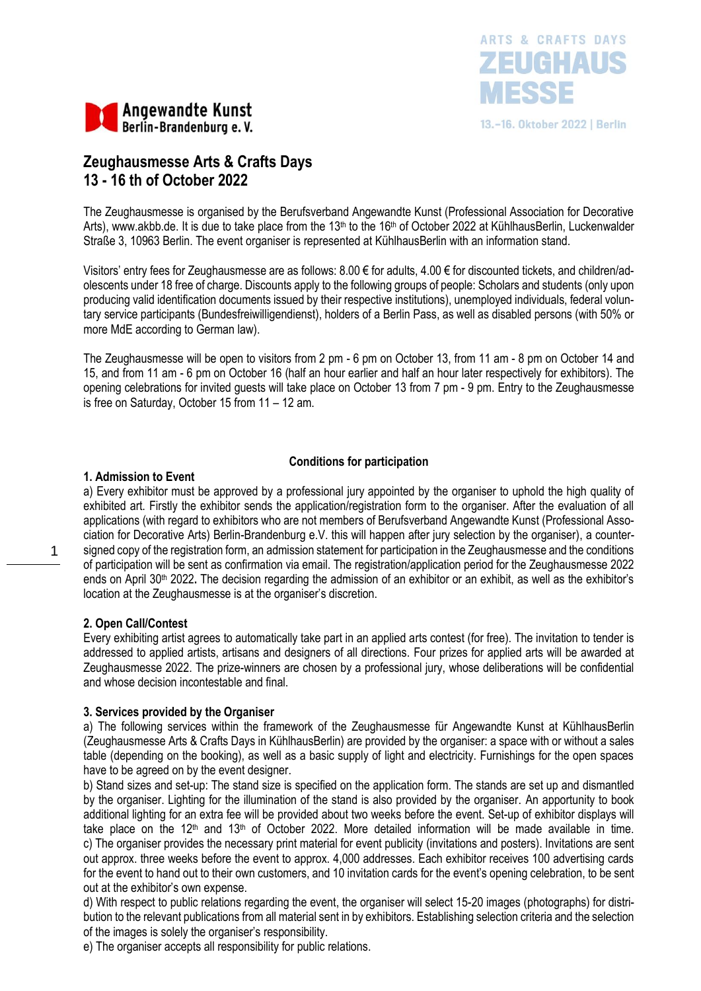



# **Zeughausmesse Arts & Crafts Days 13 - 16 th of October 2022**

The Zeughausmesse is organised by the Berufsverband Angewandte Kunst (Professional Association for Decorative Arts), [www.akbb.de.](http://www.akbb.de/) It is due to take place from the 13<sup>th</sup> to the 16<sup>th</sup> of October 2022 at KühlhausBerlin, Luckenwalder Straße 3, 10963 Berlin. The event organiser is represented at KühlhausBerlin with an information stand.

Visitors' entry fees for Zeughausmesse are as follows: 8.00 € for adults, 4.00 € for discounted tickets, and children/adolescents under 18 free of charge. Discounts apply to the following groups of people: Scholars and students (only upon producing valid identification documents issued by their respective institutions), unemployed individuals, federal voluntary service participants (Bundesfreiwilligendienst), holders of a Berlin Pass, as well as disabled persons (with 50% or more MdE according to German law).

The Zeughausmesse will be open to visitors from 2 pm - 6 pm on October 13, from 11 am - 8 pm on October 14 and 15, and from 11 am - 6 pm on October 16 (half an hour earlier and half an hour later respectively for exhibitors). The opening celebrations for invited guests will take place on October 13 from 7 pm - 9 pm. Entry to the Zeughausmesse is free on Saturday, October 15 from 11 – 12 am.

## **Conditions for participation**

## **1. Admission to Event**

a) Every exhibitor must be approved by a professional jury appointed by the organiser to uphold the high quality of exhibited art. Firstly the exhibitor sends the application/registration form to the organiser. After the evaluation of all applications (with regard to exhibitors who are not members of Berufsverband Angewandte Kunst (Professional Association for Decorative Arts) Berlin-Brandenburg e.V. this will happen after jury selection by the organiser), a countersigned copy of the registration form, an admission statement for participation in the Zeughausmesse and the conditions of participation will be sent as confirmation via email. The registration/application period for the Zeughausmesse 2022 ends on April 30th 2022**.** The decision regarding the admission of an exhibitor or an exhibit, as well as the exhibitor's location at the Zeughausmesse is at the organiser's discretion.

## **2. Open Call/Contest**

1

Every exhibiting artist agrees to automatically take part in an applied arts contest (for free). The invitation to tender is addressed to applied artists, artisans and designers of all directions. Four prizes for applied arts will be awarded at Zeughausmesse 2022. The prize-winners are chosen by a professional jury, whose deliberations will be confidential and whose decision incontestable and final.

## **3. Services provided by the Organiser**

a) The following services within the framework of the Zeughausmesse für Angewandte Kunst at KühlhausBerlin (Zeughausmesse Arts & Crafts Days in KühlhausBerlin) are provided by the organiser: a space with or without a sales table (depending on the booking), as well as a basic supply of light and electricity. Furnishings for the open spaces have to be agreed on by the event designer.

b) Stand sizes and set-up: The stand size is specified on the application form. The stands are set up and dismantled by the organiser. Lighting for the illumination of the stand is also provided by the organiser. An apportunity to book additional lighting for an extra fee will be provided about two weeks before the event. Set-up of exhibitor displays will take place on the 12<sup>th</sup> and 13<sup>th</sup> of October 2022. More detailed information will be made available in time. c) The organiser provides the necessary print material for event publicity (invitations and posters). Invitations are sent out approx. three weeks before the event to approx. 4,000 addresses. Each exhibitor receives 100 advertising cards for the event to hand out to their own customers, and 10 invitation cards for the event's opening celebration, to be sent out at the exhibitor's own expense.

d) With respect to public relations regarding the event, the organiser will select 15-20 images (photographs) for distribution to the relevant publications from all material sent in by exhibitors. Establishing selection criteria and the selection of the images is solely the organiser's responsibility.

e) The organiser accepts all responsibility for public relations.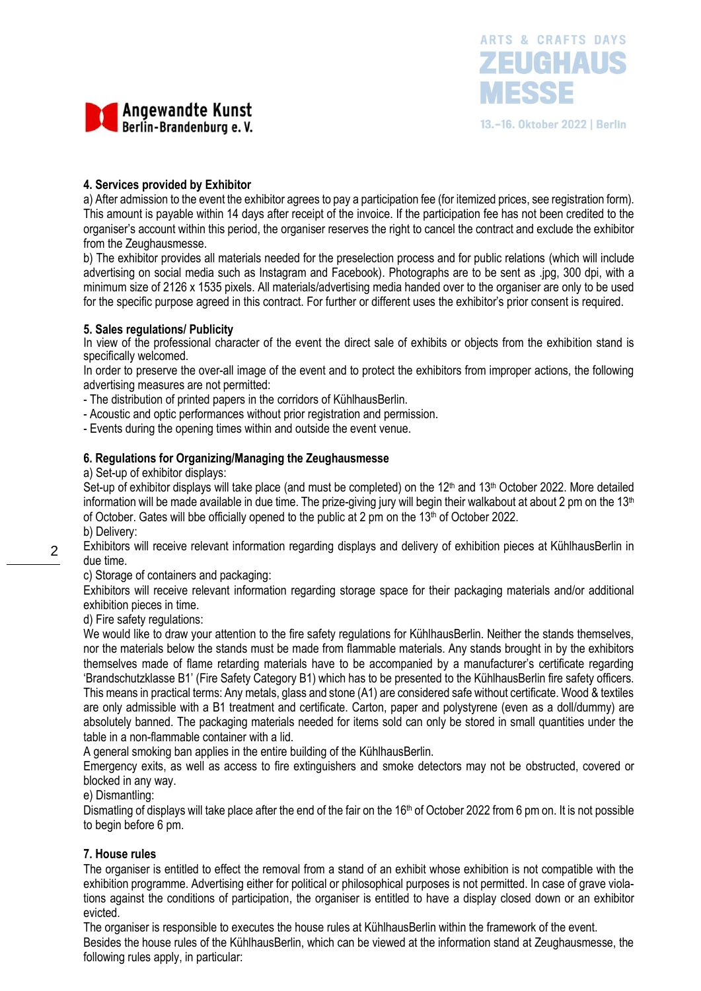



### **4. Services provided by Exhibitor**

a) After admission to the event the exhibitor agrees to pay a participation fee (for itemized prices, see registration form). This amount is payable within 14 days after receipt of the invoice. If the participation fee has not been credited to the organiser's account within this period, the organiser reserves the right to cancel the contract and exclude the exhibitor from the Zeughausmesse.

b) The exhibitor provides all materials needed for the preselection process and for public relations (which will include advertising on social media such as Instagram and Facebook). Photographs are to be sent as .jpg, 300 dpi, with a minimum size of 2126 x 1535 pixels. All materials/advertising media handed over to the organiser are only to be used for the specific purpose agreed in this contract. For further or different uses the exhibitor's prior consent is required.

#### **5. Sales regulations/ Publicity**

In view of the professional character of the event the direct sale of exhibits or objects from the exhibition stand is specifically welcomed.

In order to preserve the over-all image of the event and to protect the exhibitors from improper actions, the following advertising measures are not permitted:

- The distribution of printed papers in the corridors of KühlhausBerlin.

- Acoustic and optic performances without prior registration and permission.

- Events during the opening times within and outside the event venue.

#### **6. Regulations for Organizing/Managing the Zeughausmesse**

a) Set-up of exhibitor displays:

Set-up of exhibitor displays will take place (and must be completed) on the  $12<sup>th</sup>$  and  $13<sup>th</sup>$  October 2022. More detailed information will be made available in due time. The prize-giving jury will begin their walkabout at about 2 pm on the  $13<sup>th</sup>$ of October. Gates will bbe officially opened to the public at 2 pm on the  $13<sup>th</sup>$  of October 2022.

b) Delivery:

 $\mathfrak{D}$ 

Exhibitors will receive relevant information regarding displays and delivery of exhibition pieces at KühlhausBerlin in due time.

c) Storage of containers and packaging:

Exhibitors will receive relevant information regarding storage space for their packaging materials and/or additional exhibition pieces in time.

d) Fire safety regulations:

We would like to draw your attention to the fire safety regulations for KühlhausBerlin. Neither the stands themselves, nor the materials below the stands must be made from flammable materials. Any stands brought in by the exhibitors themselves made of flame retarding materials have to be accompanied by a manufacturer's certificate regarding 'Brandschutzklasse B1' (Fire Safety Category B1) which has to be presented to the KühlhausBerlin fire safety officers. This means in practical terms: Any metals, glass and stone (A1) are considered safe without certificate. Wood & textiles are only admissible with a B1 treatment and certificate. Carton, paper and polystyrene (even as a doll/dummy) are absolutely banned. The packaging materials needed for items sold can only be stored in small quantities under the table in a non-flammable container with a lid.

A general smoking ban applies in the entire building of the KühlhausBerlin.

Emergency exits, as well as access to fire extinguishers and smoke detectors may not be obstructed, covered or blocked in any way.

e) Dismantling:

Dismatling of displays will take place after the end of the fair on the 16<sup>th</sup> of October 2022 from 6 pm on. It is not possible to begin before 6 pm.

#### **7. House rules**

The organiser is entitled to effect the removal from a stand of an exhibit whose exhibition is not compatible with the exhibition programme. Advertising either for political or philosophical purposes is not permitted. In case of grave violations against the conditions of participation, the organiser is entitled to have a display closed down or an exhibitor evicted.

The organiser is responsible to executes the house rules at KühlhausBerlin within the framework of the event. Besides the house rules of the KühlhausBerlin, which can be viewed at the information stand at Zeughausmesse, the following rules apply, in particular: